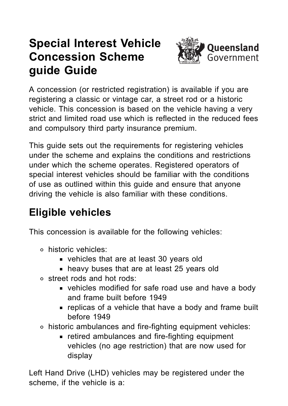# **Special Interest Vehicle Concession Scheme guide Guide**



A concession (or restricted registration) is available if you are registering a classic or vintage car, a street rod or a historic vehicle. This concession is based on the vehicle having a very strict and [limited](https://www.qld.gov.au/transport/registration/fees/concession/special-interest/restrictions) road use which is reflected in the reduced fees and compulsory third party insurance premium.

This guide sets out the requirements for registering vehicles under the scheme and explains the conditions and restrictions under which the scheme operates. Registered operators of special interest vehicles should be familiar with the conditions of use as outlined within this guide and ensure that anyone driving the vehicle is also familiar with these conditions.

# **Eligible vehicles**

This concession is available for the following vehicles:

- historic vehicles:
	- vehicles that are at least 30 years old
	- **heavy buses that are at least 25 years old**
- street rods and hot rods:
	- vehicles modified for safe road use and have a body and frame built before 1949
	- **Figure 1** replicas of a vehicle that have a body and frame built before 1949
- historic ambulances and fire-fighting equipment vehicles:
	- retired ambulances and fire-fighting equipment vehicles (no age restriction) that are now used for display

Left Hand Drive (LHD) vehicles may be registered under the scheme, if the vehicle is a: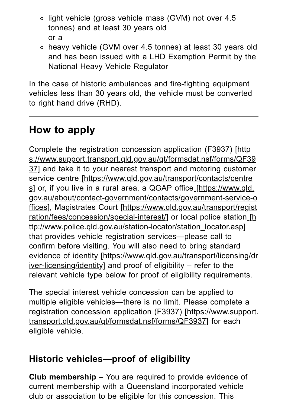- o light vehicle (gross vehicle mass (GVM) not over 4.5 tonnes) and at least 30 years old or a
- heavy vehicle (GVM over 4.5 tonnes) at least 30 years old and has been issued with a LHD Exemption Permit by the National Heavy Vehicle Regulator

In the case of historic ambulances and fire-fighting equipment vehicles less than 30 years old, the vehicle must be converted to right hand drive (RHD).

# **How to apply**

Complete the registration concession application (F3937) [http [s://www.support.transport.qld.gov.au/qt/formsdat.nsf/forms/QF39](https://www.support.transport.qld.gov.au/qt/formsdat.nsf/forms/QF3937) 37] and take it to your nearest transport and motoring customer service centre\_[\[https://www.qld.gov.au/transport/contacts/centre](https://www.qld.gov.au/transport/contacts/centres) s] or, if you live in a rural area, a QGAP office [https://www.qld. [gov.au/about/contact-government/contacts/government-service-o](https://www.qld.gov.au/about/contact-government/contacts/government-service-offices) ffices], Magistrates Court [https://www.qld.gov.au/transport/regist [ration/fees/concession/special-interest/\]](https://www.qld.gov.au/transport/registration/fees/concession/special-interest/) or local police station [h [ttp://www.police.qld.gov.au/station-locator/station\\_locator.asp\]](http://www.police.qld.gov.au/station-locator/station_locator.asp) that provides vehicle registration services—please call to confirm before visiting. You will also need to bring standard evidence of identity [\[https://www.qld.gov.au/transport/licensing/dr](https://www.qld.gov.au/transport/licensing/driver-licensing/identity) iver-licensing/identity] and proof of eligibility – refer to the relevant vehicle type below for proof of eligibility requirements.

The special interest vehicle concession can be applied to multiple eligible vehicles—there is no limit. Please complete a registration concession application (F3937) [https://www.support. [transport.qld.gov.au/qt/formsdat.nsf/forms/QF3937\]](https://www.support.transport.qld.gov.au/qt/formsdat.nsf/forms/QF3937) for each eligible vehicle.

#### **Historic vehicles—proof of eligibility**

**Club membership** – You are required to provide evidence of current membership with a Queensland incorporated vehicle club or association to be eligible for this concession. This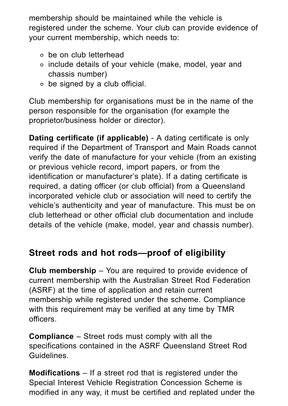membership should be maintained while the vehicle is registered under the scheme. Your club can provide evidence of your current membership, which needs to:

- be on club letterhead
- include details of your vehicle (make, model, year and chassis number)
- be signed by a club official.

Club membership for organisations must be in the name of the person responsible for the organisation (for example the proprietor/business holder or director).

**Dating certificate (if applicable)** - A dating certificate is only required if the Department of Transport and Main Roads cannot verify the date of manufacture for your vehicle (from an existing or previous vehicle record, import papers, or from the identification or manufacturer's plate). If a dating certificate is required, a dating officer (or club official) from a Queensland incorporated vehicle club or association will need to certify the vehicle's authenticity and year of manufacture. This must be on club letterhead or other official club documentation and include details of the vehicle (make, model, year and chassis number).

### **Street rods and hot rods—proof of eligibility**

**Club membership** – You are required to provide evidence of current membership with the Australian Street Rod Federation (ASRF) at the time of application and retain current membership while registered under the scheme. Compliance with this requirement may be verified at any time by TMR officers.

**Compliance** – Street rods must comply with all the specifications contained in the ASRF Queensland Street Rod Guidelines.

**Modifications** – If a street rod that is registered under the Special Interest Vehicle Registration Concession Scheme is modified in any way, it must be certified and replated under the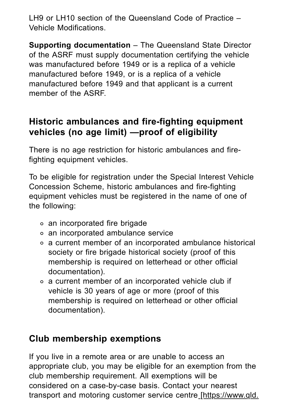LH9 or LH10 section of the Queensland Code of Practice – Vehicle Modifications.

**Supporting documentation** – The Queensland State Director of the ASRF must supply documentation certifying the vehicle was manufactured before 1949 or is a replica of a vehicle manufactured before 1949, or is a replica of a vehicle manufactured before 1949 and that applicant is a current member of the ASRF.

#### **Historic ambulances and fire-fighting equipment vehicles (no age limit) —proof of eligibility**

There is no age restriction for historic ambulances and firefighting equipment vehicles.

To be eligible for registration under the Special Interest Vehicle Concession Scheme, historic ambulances and fire-fighting equipment vehicles must be registered in the name of one of the following:

- an incorporated fire brigade
- an incorporated ambulance service
- a current member of an incorporated ambulance historical society or fire brigade historical society (proof of this membership is required on letterhead or other official documentation).
- a current member of an incorporated vehicle club if vehicle is 30 years of age or more (proof of this membership is required on letterhead or other official documentation).

### **Club membership exemptions**

If you live in a remote area or are unable to access an appropriate club, you may be eligible for an exemption from the club membership requirement. All exemptions will be considered on a case-by-case basis. Contact your nearest transport and motoring customer service centre [\[https://www.qld.](https://www.qld.gov.au/transport/contacts/centres)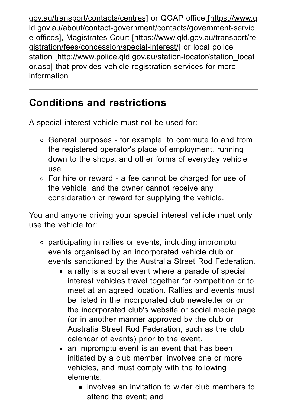[gov.au/transport/contacts/centres\]](https://www.qld.gov.au/transport/contacts/centres) or QGAP office [https://www.q [ld.gov.au/about/contact-government/contacts/government-servic](https://www.qld.gov.au/about/contact-government/contacts/government-service-offices) e-offices], Magistrates Court [https://www.qld.gov.au/transport/re [gistration/fees/concession/special-interest/\]](https://www.qld.gov.au/transport/registration/fees/concession/special-interest/) or local police station [\[http://www.police.qld.gov.au/station-locator/station\\_locat](http://www.police.qld.gov.au/station-locator/station_locator.asp) or.asp] that provides vehicle registration services for more information.

## **Conditions and restrictions**

A special interest vehicle must not be used for:

- General purposes for example, to commute to and from the registered operator's place of employment, running down to the shops, and other forms of everyday vehicle use.
- For hire or reward a fee cannot be charged for use of the vehicle, and the owner cannot receive any consideration or reward for supplying the vehicle.

You and anyone driving your special interest vehicle must only use the vehicle for:

- participating in rallies or events, including impromptu events organised by an incorporated vehicle club or events sanctioned by the Australia Street Rod Federation.
	- a rally is a social event where a parade of special interest vehicles travel together for competition or to meet at an agreed location. Rallies and events must be listed in the incorporated club newsletter or on the incorporated club's website or social media page (or in another manner approved by the club or Australia Street Rod Federation, such as the club calendar of events) prior to the event.
	- an impromptu event is an event that has been initiated by a club member, involves one or more vehicles, and must comply with the following elements:
		- **Example involves an invitation to wider club members to** attend the event; and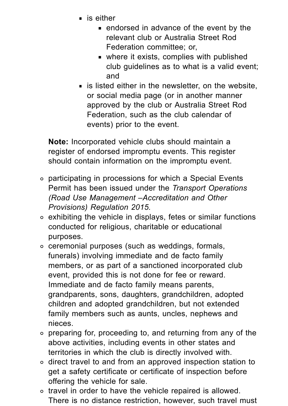- $\blacksquare$  is either
	- endorsed in advance of the event by the relevant club or Australia Street Rod Federation committee; or,
	- where it exists, complies with published club guidelines as to what is a valid event; and
- $\blacksquare$  is listed either in the newsletter, on the website, or social media page (or in another manner approved by the club or Australia Street Rod Federation, such as the club calendar of events) prior to the event.

**Note:** Incorporated vehicle clubs should maintain a register of endorsed impromptu events. This register should contain information on the impromptu event.

- participating in processions for which a Special Events Permit has been issued under the *Transport Operations (Road Use Management –Accreditation and Other Provisions) Regulation 2015.*
- exhibiting the vehicle in displays, fetes or similar functions conducted for religious, charitable or educational purposes.
- ceremonial purposes (such as weddings, formals, funerals) involving immediate and de facto family members, or as part of a sanctioned incorporated club event, provided this is not done for fee or reward. Immediate and de facto family means parents, grandparents, sons, daughters, grandchildren, adopted children and adopted grandchildren, but not extended family members such as aunts, uncles, nephews and nieces.
- preparing for, proceeding to, and returning from any of the above activities, including events in other states and territories in which the club is directly involved with.
- direct travel to and from an approved inspection station to get a safety certificate or certificate of inspection before offering the vehicle for sale.
- travel in order to have the vehicle repaired is allowed. There is no distance restriction, however, such travel must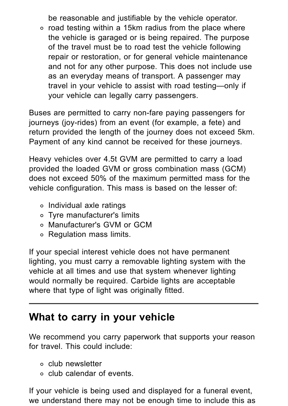be reasonable and justifiable by the vehicle operator.

 $\circ$  road testing within a 15km radius from the place where the vehicle is garaged or is being repaired. The purpose of the travel must be to road test the vehicle following repair or restoration, or for general vehicle maintenance and not for any other purpose. This does not include use as an everyday means of transport. A passenger may travel in your vehicle to assist with road testing—only if your vehicle can legally carry passengers.

Buses are permitted to carry non-fare paying passengers for journeys (joy-rides) from an event (for example, a fete) and return provided the length of the journey does not exceed 5km. Payment of any kind cannot be received for these journeys.

Heavy vehicles over 4.5t GVM are permitted to carry a load provided the loaded GVM or gross combination mass (GCM) does not exceed 50% of the maximum permitted mass for the vehicle configuration. This mass is based on the lesser of:

- Individual axle ratings
- Tyre manufacturer's limits
- Manufacturer's GVM or GCM
- Regulation mass limits.

If your special interest vehicle does not have permanent lighting, you must carry a removable lighting system with the vehicle at all times and use that system whenever lighting would normally be required. Carbide lights are acceptable where that type of light was originally fitted.

### **What to carry in your vehicle**

We recommend you carry paperwork that supports your reason for travel. This could include:

- club newsletter
- club calendar of events.

If your vehicle is being used and displayed for a funeral event, we understand there may not be enough time to include this as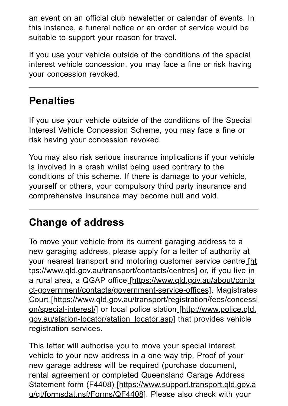an event on an official club newsletter or calendar of events. In this instance, a funeral notice or an order of service would be suitable to support your reason for travel.

If you use your vehicle outside of the conditions of the special interest vehicle concession, you may face a fine or risk having your concession revoked.

# **Penalties**

If you use your vehicle outside of the conditions of the Special Interest Vehicle Concession Scheme, you may face a fine or risk having your concession revoked.

You may also risk serious insurance implications if your vehicle is involved in a crash whilst being used contrary to the conditions of this scheme. If there is damage to your vehicle, yourself or others, your compulsory third party insurance and comprehensive insurance may become null and void.

# **Change of address**

To move your vehicle from its current garaging address to a new garaging address, please apply for a letter of authority at your nearest transport and motoring customer service centre [ht [tps://www.qld.gov.au/transport/contacts/centres\]](https://www.qld.gov.au/transport/contacts/centres) or, if you live in a rural area, a QGAP office [https://www.qld.gov.au/about/conta [ct-government/contacts/government-service-offices\],](https://www.qld.gov.au/about/contact-government/contacts/government-service-offices) Magistrates Court [\[https://www.qld.gov.au/transport/registration/fees/concessi](https://www.qld.gov.au/transport/registration/fees/concession/special-interest/) on/special-interest/] or local police station [http://www.police.qld. [gov.au/station-locator/station\\_locator.asp\]](http://www.police.qld.gov.au/station-locator/station_locator.asp) that provides vehicle registration services.

This letter will authorise you to move your special interest vehicle to your new address in a one way trip. Proof of your new garage address will be required (purchase document, rental agreement or completed Queensland Garage Address Statement form (F4408) [\[https://www.support.transport.qld.gov.a](https://www.support.transport.qld.gov.au/qt/formsdat.nsf/Forms/QF4408) u/qt/formsdat.nsf/Forms/QF4408]. Please also check with your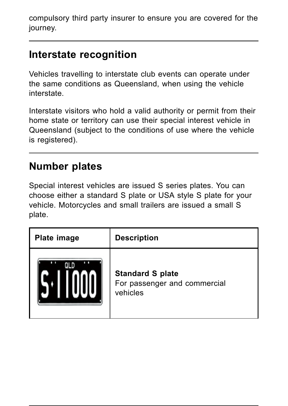compulsory third party insurer to ensure you are covered for the journey.

## **Interstate recognition**

Vehicles travelling to interstate club events can operate under the same conditions as Queensland, when using the vehicle interstate.

Interstate visitors who hold a valid authority or permit from their home state or territory can use their special interest vehicle in Queensland (subject to the conditions of use where the vehicle is registered).

### **Number plates**

Special interest vehicles are issued S series plates. You can choose either a standard S plate or USA style S plate for your vehicle. Motorcycles and small trailers are issued a small S plate.

| <b>Plate image</b> | <b>Description</b>                                                  |
|--------------------|---------------------------------------------------------------------|
|                    | <b>Standard S plate</b><br>For passenger and commercial<br>vehicles |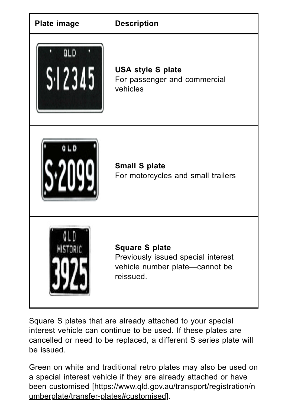| <b>Plate image</b>       | <b>Description</b>                                                                                         |
|--------------------------|------------------------------------------------------------------------------------------------------------|
| QLD<br>S <sub>1</sub> 23 | <b>USA style S plate</b><br>For passenger and commercial<br>vehicles                                       |
|                          | <b>Small S plate</b><br>For motorcycles and small trailers                                                 |
|                          | <b>Square S plate</b><br>Previously issued special interest<br>vehicle number plate-cannot be<br>reissued. |

Square S plates that are already attached to your special interest vehicle can continue to be used. If these plates are cancelled or need to be replaced, a different S series plate will be issued.

Green on white and traditional retro plates may also be used on a special interest vehicle if they are already attached or have been customised [\[https://www.qld.gov.au/transport/registration/n](https://www.qld.gov.au/transport/registration/numberplate/transfer-plates#customised) umberplate/transfer-plates#customised].